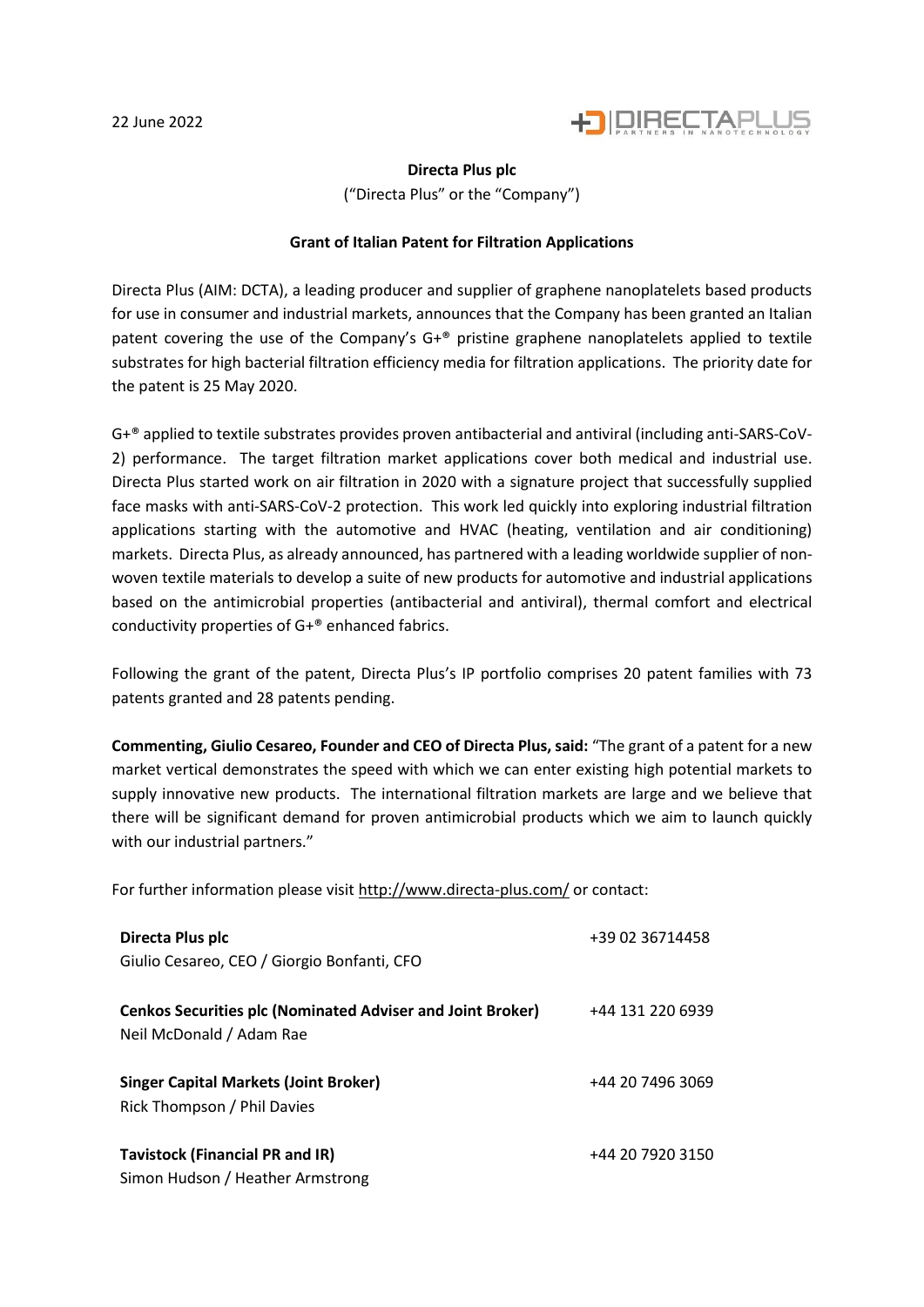

## **Directa Plus plc**

("Directa Plus" or the "Company")

## **Grant of Italian Patent for Filtration Applications**

Directa Plus (AIM: DCTA), a leading producer and supplier of graphene nanoplatelets based products for use in consumer and industrial markets, announces that the Company has been granted an Italian patent covering the use of the Company's  $G^{+}$ ® pristine graphene nanoplatelets applied to textile substrates for high bacterial filtration efficiency media for filtration applications. The priority date for the patent is 25 May 2020.

G+® applied to textile substrates provides proven antibacterial and antiviral (including anti-SARS-CoV-2) performance. The target filtration market applications cover both medical and industrial use. Directa Plus started work on air filtration in 2020 with a signature project that successfully supplied face masks with anti-SARS-CoV-2 protection. This work led quickly into exploring industrial filtration applications starting with the automotive and HVAC (heating, ventilation and air conditioning) markets. Directa Plus, as already announced, has partnered with a leading worldwide supplier of nonwoven textile materials to develop a suite of new products for automotive and industrial applications based on the antimicrobial properties (antibacterial and antiviral), thermal comfort and electrical conductivity properties of G+® enhanced fabrics.

Following the grant of the patent, Directa Plus's IP portfolio comprises 20 patent families with 73 patents granted and 28 patents pending.

**Commenting, Giulio Cesareo, Founder and CEO of Directa Plus, said:** "The grant of a patent for a new market vertical demonstrates the speed with which we can enter existing high potential markets to supply innovative new products. The international filtration markets are large and we believe that there will be significant demand for proven antimicrobial products which we aim to launch quickly with our industrial partners."

For further information please visit<http://www.directa-plus.com/> or contact:

| Directa Plus plc                                                                              | +39 02 36714458  |
|-----------------------------------------------------------------------------------------------|------------------|
| Giulio Cesareo, CEO / Giorgio Bonfanti, CFO                                                   |                  |
| <b>Cenkos Securities plc (Nominated Adviser and Joint Broker)</b><br>Neil McDonald / Adam Rae | +44 131 220 6939 |
| <b>Singer Capital Markets (Joint Broker)</b><br>Rick Thompson / Phil Davies                   | +44 20 7496 3069 |
| <b>Tavistock (Financial PR and IR)</b><br>Simon Hudson / Heather Armstrong                    | +44 20 7920 3150 |